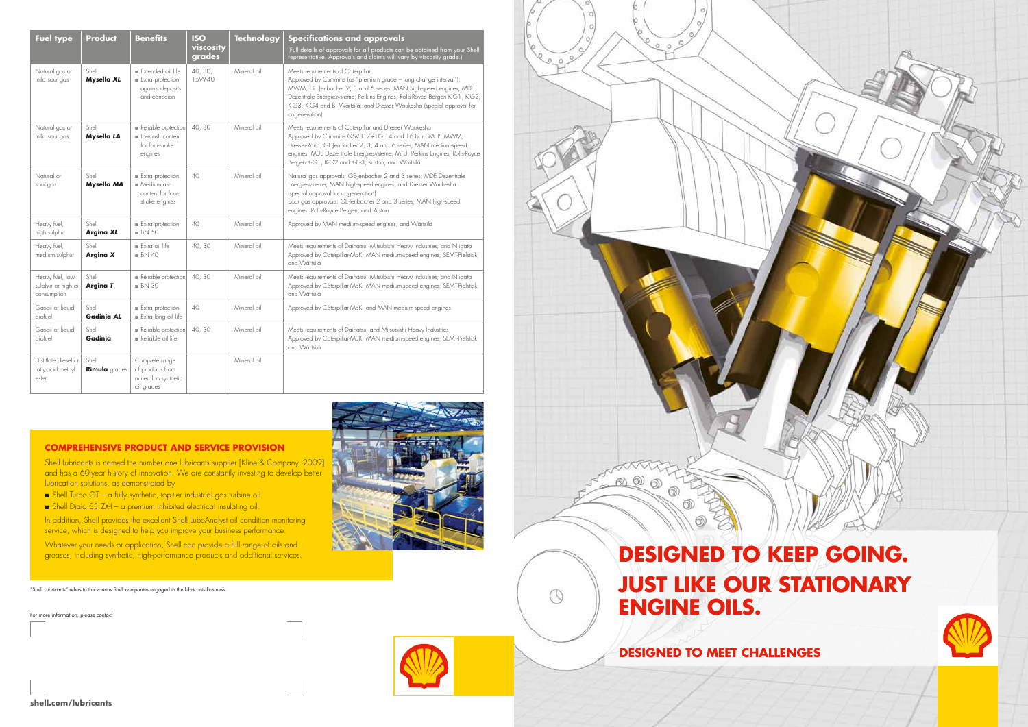

Shell Lubricants is named the number one lubricants supplier [Kline & Company, 2009] and has a 60-year history of innovation. We are constantly investing to develop better lubrication solutions, as demonstrated by

- $\blacksquare$  Shell Turbo GT a fully synthetic, top-tier industrial gas turbine oil
- $\blacksquare$  Shell Diala S3 ZX-I a premium inhibited electrical insulating oil.

In addition, Shell provides the excellent Shell LubeAnalyst oil condition monitoring service, which is designed to help you improve your business performance.

Whatever your needs or application, Shell can provide a full range of oils and greases, including synthetic, high-performance products and additional services.

| <b>Fuel type</b>                                      | <b>Product</b>                | <b>Benefits</b>                                                                         | <b>ISO</b><br>viscosity<br>grades | <b>Technology</b> | <b>Specifications and approvals</b><br>(Full details of approvals for all products can be obtained from your Shell<br>representative. Approvals and claims will vary by viscosity grade.)                                                                                                                                                          |
|-------------------------------------------------------|-------------------------------|-----------------------------------------------------------------------------------------|-----------------------------------|-------------------|----------------------------------------------------------------------------------------------------------------------------------------------------------------------------------------------------------------------------------------------------------------------------------------------------------------------------------------------------|
| Natural gas or<br>mild sour gas                       | Shell<br>Mysella XL           | Extended oil life<br>$Extra$ protection<br>against deposits<br>and corrosion            | 40, 30,<br>15W-40                 | Mineral oil       | Meets requirements of Caterpillar<br>Approved by Cummins (as "premium grade - long change interval");<br>MWM; GE Jenbacher 2, 3 and 6 series; MAN high-speed engines; MDE<br>Dezentrale Energiesysteme; Perkins Engines; Rolls-Royce Bergen K-G1, K-G2,<br>K-G3, K-G4 and B; Wärtsilä; and Dresser Waukesha (special approval for<br>cogeneration) |
| Natural gas or<br>mild sour gas                       | Shell<br>Mysella LA           | Reliable protection<br>low ash content<br>for four-stroke<br>engines                    | 40,30                             | Mineral oil       | Meets requirements of Caterpillar and Dresser Waukesha<br>Approved by Cummins QSV81/91G 14 and 16 bar BMEP; MWM;<br>Dresser-Rand; GE-Jenbacher 2, 3, 4 and 6 series; MAN medium-speed<br>engines; MDE Dezentrale Energiesysteme; MTU; Perkins Engines; Rolls-Royce<br>Bergen K-G1, K-G2 and K-G3; Ruston; and Wärtsilä                             |
| Natural or<br>sour gas                                | Shell<br>Mysella MA           | $\blacksquare$ Extra protection<br>$M$ edium ash<br>content for four-<br>stroke engines | 40                                | Mineral oil       | Natural gas approvals: GE-Jenbacher 2 and 3 series; MDE Dezentrale<br>Energiesysteme; MAN high-speed engines; and Dresser Waukesha<br>(special approval for cogeneration)<br>Sour gas approvals: GE-Jenbacher 2 and 3 series; MAN high-speed<br>engines; Rolls-Royce Bergen; and Ruston                                                            |
| Heavy fuel,<br>high sulphur                           | Shell<br><b>Argina XL</b>     | $\blacksquare$ Extra protection<br>$BN$ 50                                              | 40                                | Mineral oil       | Approved by MAN medium-speed engines; and Wärtsilä                                                                                                                                                                                                                                                                                                 |
| Heavy fuel,<br>medium sulphur                         | Shell<br>Argina X             | $\blacksquare$ Extra oil life<br>$BN$ 40                                                | 40, 30                            | Mineral oil       | Meets requirements of Daihatsu; Mitsubishi Heavy Industries; and Niigata<br>Approved by Caterpillar-MaK; MAN medium-speed engines; SEMT-Pielstick;<br>and Wärtsilä                                                                                                                                                                                 |
| Heavy fuel, low<br>sulphur or high oil<br>consumption | Shell<br>Argina T             | $\blacksquare$ Reliable protection<br>$BN$ 30                                           | 40, 30                            | Mineral oil       | Meets requirements of Daihatsu; Mitsubishi Heavy Industries; and Niigata<br>Approved by Caterpillar-MaK; MAN medium-speed engines; SEMT-Pielstick;<br>and Wärtsilä                                                                                                                                                                                 |
| Gasoil or liquid<br>biofuel                           | Shell<br><b>Gadinia AL</b>    | $\blacksquare$ Extra protection<br>Extra long oil life                                  | 40                                | Mineral oil       | Approved by Caterpillar-MaK; and MAN medium-speed engines                                                                                                                                                                                                                                                                                          |
| Gasoil or liquid<br>biofuel                           | Shell<br>Gadinia              | Reliable protection<br>Reliable oil life                                                | 40,30                             | Mineral oil       | Meets requirements of Daihatsu; and Mitsubishi Heavy Industries<br>Approved by Caterpillar-MaK; MAN medium-speed engines; SEMT-Pielstick;<br>and Wärtsilä                                                                                                                                                                                          |
| Distillate diesel or<br>fatty-acid methyl<br>ester    | Shell<br><b>Rimula</b> grades | Complete range<br>of products from<br>mineral to synthetic<br>oil grades                |                                   | Mineral oil       |                                                                                                                                                                                                                                                                                                                                                    |







For more information, please contact





 $\circledcirc$ 



"Shell Lubricants" refers to the various Shell companies engaged in the lubricants business.

# **DESIGNED TO KEEP GOING. JUST LIKE OUR STATIONARY ENGINE OILS.**

**DESIGNED TO MEET CHALLENGES**